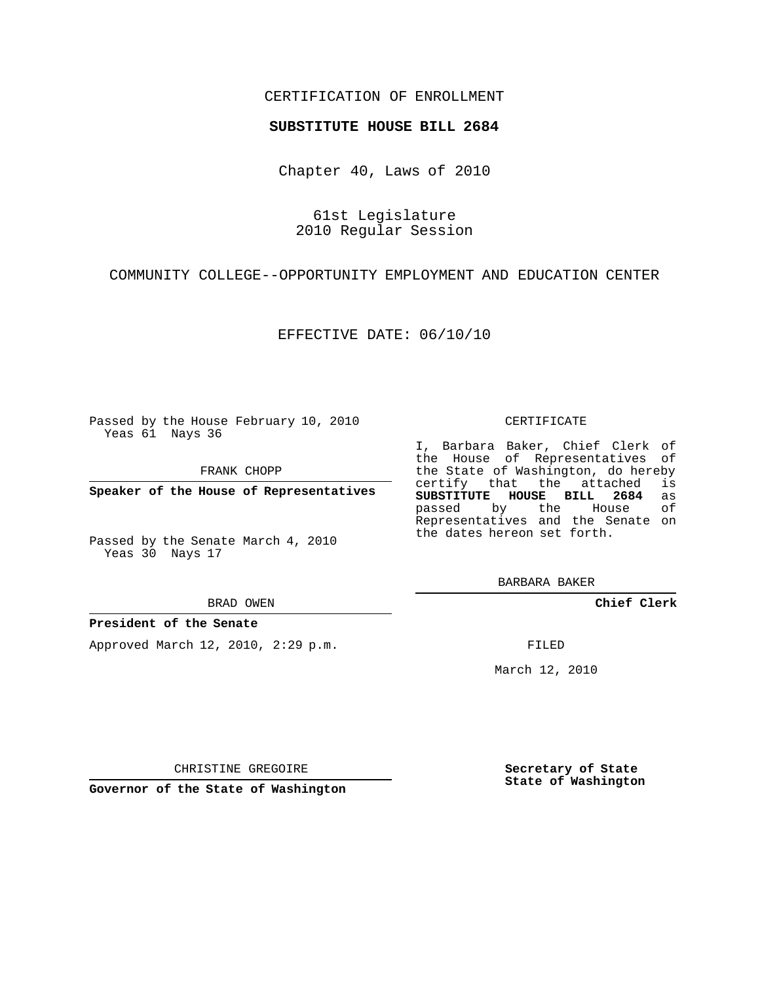### CERTIFICATION OF ENROLLMENT

#### **SUBSTITUTE HOUSE BILL 2684**

Chapter 40, Laws of 2010

61st Legislature 2010 Regular Session

COMMUNITY COLLEGE--OPPORTUNITY EMPLOYMENT AND EDUCATION CENTER

EFFECTIVE DATE: 06/10/10

Passed by the House February 10, 2010 Yeas 61 Nays 36

FRANK CHOPP

**Speaker of the House of Representatives**

Passed by the Senate March 4, 2010 Yeas 30 Nays 17

BRAD OWEN

#### **President of the Senate**

Approved March 12, 2010, 2:29 p.m.

CERTIFICATE

I, Barbara Baker, Chief Clerk of the House of Representatives of the State of Washington, do hereby<br>certify that the attached is certify that the attached **SUBSTITUTE HOUSE BILL 2684** as passed by the House Representatives and the Senate on the dates hereon set forth.

BARBARA BAKER

**Chief Clerk**

FILED

March 12, 2010

**Secretary of State State of Washington**

**Governor of the State of Washington**

CHRISTINE GREGOIRE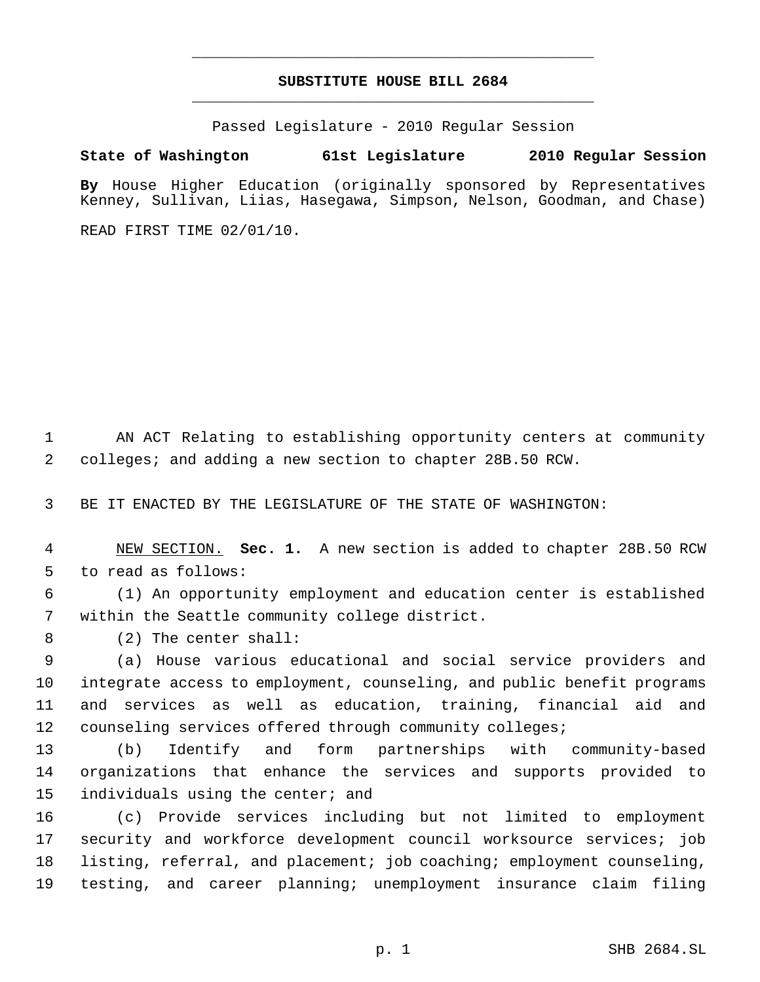# **SUBSTITUTE HOUSE BILL 2684** \_\_\_\_\_\_\_\_\_\_\_\_\_\_\_\_\_\_\_\_\_\_\_\_\_\_\_\_\_\_\_\_\_\_\_\_\_\_\_\_\_\_\_\_\_

\_\_\_\_\_\_\_\_\_\_\_\_\_\_\_\_\_\_\_\_\_\_\_\_\_\_\_\_\_\_\_\_\_\_\_\_\_\_\_\_\_\_\_\_\_

Passed Legislature - 2010 Regular Session

## **State of Washington 61st Legislature 2010 Regular Session**

**By** House Higher Education (originally sponsored by Representatives Kenney, Sullivan, Liias, Hasegawa, Simpson, Nelson, Goodman, and Chase)

READ FIRST TIME 02/01/10.

 AN ACT Relating to establishing opportunity centers at community colleges; and adding a new section to chapter 28B.50 RCW.

BE IT ENACTED BY THE LEGISLATURE OF THE STATE OF WASHINGTON:

 NEW SECTION. **Sec. 1.** A new section is added to chapter 28B.50 RCW to read as follows:

 (1) An opportunity employment and education center is established within the Seattle community college district.

(2) The center shall:

 (a) House various educational and social service providers and integrate access to employment, counseling, and public benefit programs and services as well as education, training, financial aid and counseling services offered through community colleges;

 (b) Identify and form partnerships with community-based organizations that enhance the services and supports provided to 15 individuals using the center; and

 (c) Provide services including but not limited to employment security and workforce development council worksource services; job listing, referral, and placement; job coaching; employment counseling, testing, and career planning; unemployment insurance claim filing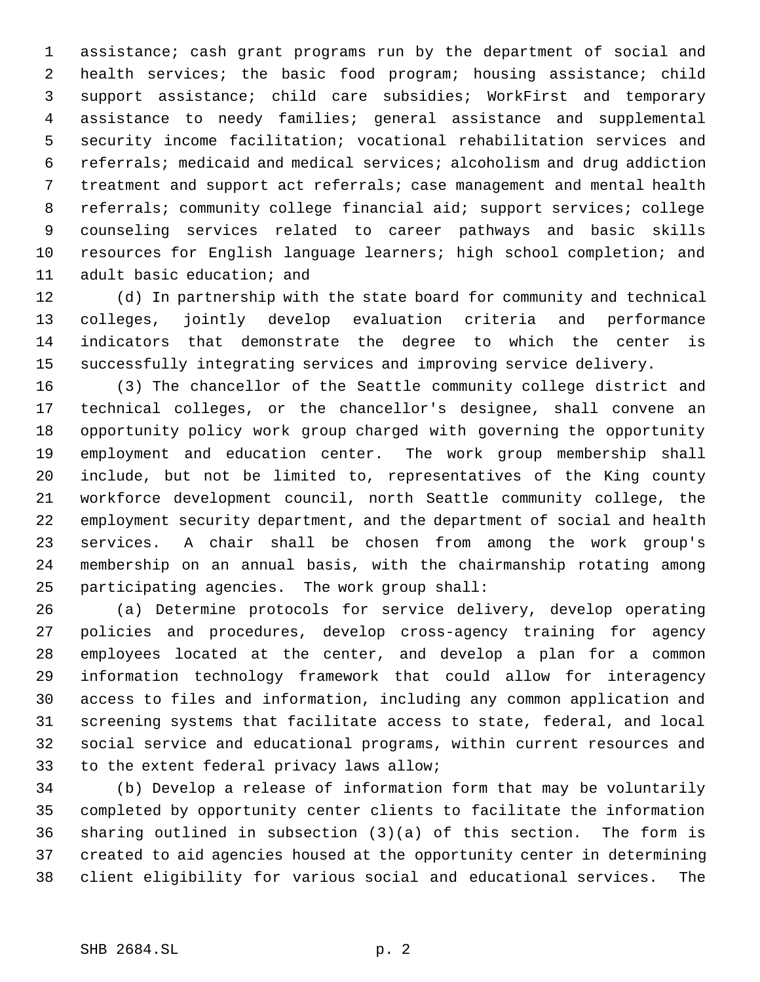assistance; cash grant programs run by the department of social and health services; the basic food program; housing assistance; child support assistance; child care subsidies; WorkFirst and temporary assistance to needy families; general assistance and supplemental security income facilitation; vocational rehabilitation services and referrals; medicaid and medical services; alcoholism and drug addiction treatment and support act referrals; case management and mental health referrals; community college financial aid; support services; college counseling services related to career pathways and basic skills resources for English language learners; high school completion; and adult basic education; and

 (d) In partnership with the state board for community and technical colleges, jointly develop evaluation criteria and performance indicators that demonstrate the degree to which the center is successfully integrating services and improving service delivery.

 (3) The chancellor of the Seattle community college district and technical colleges, or the chancellor's designee, shall convene an opportunity policy work group charged with governing the opportunity employment and education center. The work group membership shall include, but not be limited to, representatives of the King county workforce development council, north Seattle community college, the employment security department, and the department of social and health services. A chair shall be chosen from among the work group's membership on an annual basis, with the chairmanship rotating among participating agencies. The work group shall:

 (a) Determine protocols for service delivery, develop operating policies and procedures, develop cross-agency training for agency employees located at the center, and develop a plan for a common information technology framework that could allow for interagency access to files and information, including any common application and screening systems that facilitate access to state, federal, and local social service and educational programs, within current resources and to the extent federal privacy laws allow;

 (b) Develop a release of information form that may be voluntarily completed by opportunity center clients to facilitate the information sharing outlined in subsection (3)(a) of this section. The form is created to aid agencies housed at the opportunity center in determining client eligibility for various social and educational services. The